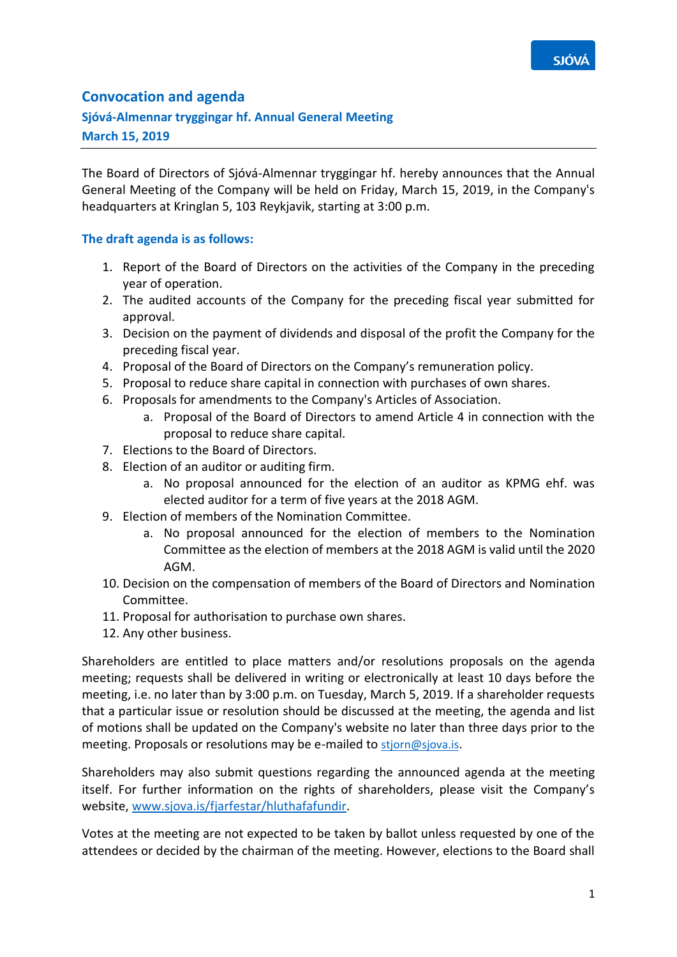

## **Convocation and agenda**

## **Sjóvá-Almennar tryggingar hf. Annual General Meeting**

**March 15, 2019**

The Board of Directors of Sjóvá-Almennar tryggingar hf. hereby announces that the Annual General Meeting of the Company will be held on Friday, March 15, 2019, in the Company's headquarters at Kringlan 5, 103 Reykjavik, starting at 3:00 p.m.

## **The draft agenda is as follows:**

- 1. Report of the Board of Directors on the activities of the Company in the preceding year of operation.
- 2. The audited accounts of the Company for the preceding fiscal year submitted for approval.
- 3. Decision on the payment of dividends and disposal of the profit the Company for the preceding fiscal year.
- 4. Proposal of the Board of Directors on the Company's remuneration policy.
- 5. Proposal to reduce share capital in connection with purchases of own shares.
- 6. Proposals for amendments to the Company's Articles of Association.
	- a. Proposal of the Board of Directors to amend Article 4 in connection with the proposal to reduce share capital.
- 7. Elections to the Board of Directors.
- 8. Election of an auditor or auditing firm.
	- a. No proposal announced for the election of an auditor as KPMG ehf. was elected auditor for a term of five years at the 2018 AGM.
- 9. Election of members of the Nomination Committee.
	- a. No proposal announced for the election of members to the Nomination Committee as the election of members at the 2018 AGM is valid until the 2020 AGM.
- 10. Decision on the compensation of members of the Board of Directors and Nomination Committee.
- 11. Proposal for authorisation to purchase own shares.
- 12. Any other business.

Shareholders are entitled to place matters and/or resolutions proposals on the agenda meeting; requests shall be delivered in writing or electronically at least 10 days before the meeting, i.e. no later than by 3:00 p.m. on Tuesday, March 5, 2019. If a shareholder requests that a particular issue or resolution should be discussed at the meeting, the agenda and list of motions shall be updated on the Company's website no later than three days prior to the meeting. Proposals or resolutions may be e-mailed to stjorn@sjova.is.

Shareholders may also submit questions regarding the announced agenda at the meeting itself. For further information on the rights of shareholders, please visit the Company's website, [www.sjova.is/fjarfestar/hluthafafundir.](http://www.sjova.is/fjarfestar/hluthafafundir)

Votes at the meeting are not expected to be taken by ballot unless requested by one of the attendees or decided by the chairman of the meeting. However, elections to the Board shall